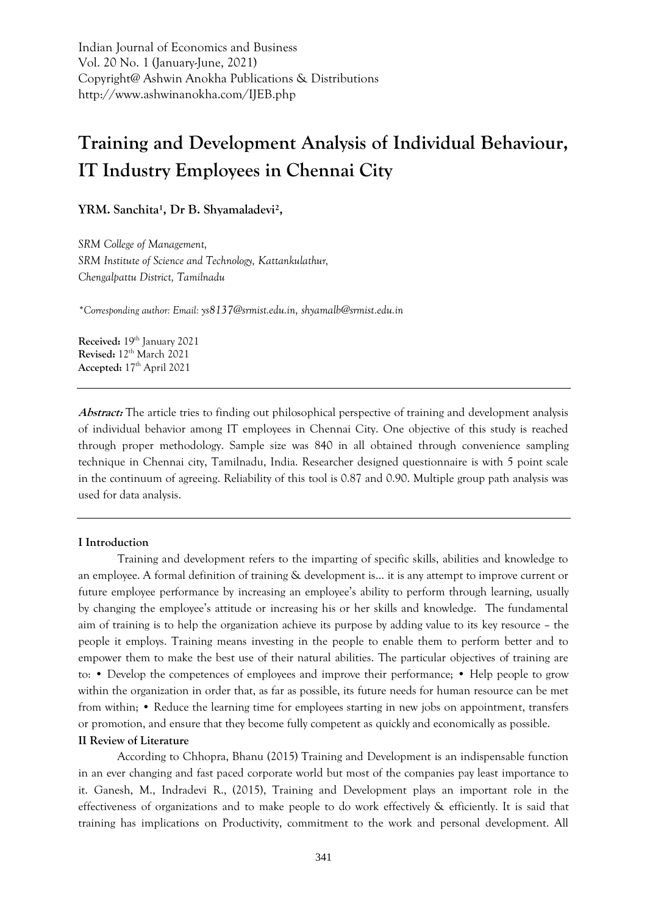Indian Journal of Economics and Business Vol. 20 No. 1 (January-June, 2021) Copyright@ Ashwin Anokha Publications & Distributions http://www.ashwinanokha.com/IJEB.php

# **Training and Development Analysis of Individual Behaviour, IT Industry Employees in Chennai City**

YRM. Sanchita<sup>1</sup>, Dr B. Shyamaladevi<sup>2</sup>,

*SRM College of Management, SRM Institute of Science and Technology, Kattankulathur, Chengalpattu District, Tamilnadu*

*\*Corresponding author: Email: [ys8137@srmist.edu.in,](mailto:ys8137@srmist.edu.in) [shyamalb@srmist.edu.in](mailto:shyamalb@srmist.edu.in)*

**Received:** 19th January 2021 **Revised:** 12th March 2021 **Accepted:** 17th April 2021

**Abstract:** The article tries to finding out philosophical perspective of training and development analysis of individual behavior among IT employees in Chennai City. One objective of this study is reached through proper methodology. Sample size was 840 in all obtained through convenience sampling technique in Chennai city, Tamilnadu, India. Researcher designed questionnaire is with 5 point scale in the continuum of agreeing. Reliability of this tool is 0.87 and 0.90. Multiple group path analysis was used for data analysis.

#### **I Introduction**

Training and development refers to the imparting of specific skills, abilities and knowledge to an employee. A formal definition of training & development is… it is any attempt to improve current or future employee performance by increasing an employee's ability to perform through learning, usually by changing the employee's attitude or increasing his or her skills and knowledge. The fundamental aim of training is to help the organization achieve its purpose by adding value to its key resource – the people it employs. Training means investing in the people to enable them to perform better and to empower them to make the best use of their natural abilities. The particular objectives of training are to: • Develop the competences of employees and improve their performance; • Help people to grow within the organization in order that, as far as possible, its future needs for human resource can be met from within; • Reduce the learning time for employees starting in new jobs on appointment, transfers or promotion, and ensure that they become fully competent as quickly and economically as possible.

#### **II Review of Literature**

According to Chhopra, Bhanu (2015) Training and Development is an indispensable function in an ever changing and fast paced corporate world but most of the companies pay least importance to it. Ganesh, M., Indradevi R., (2015), Training and Development plays an important role in the effectiveness of organizations and to make people to do work effectively & efficiently. It is said that training has implications on Productivity, commitment to the work and personal development. All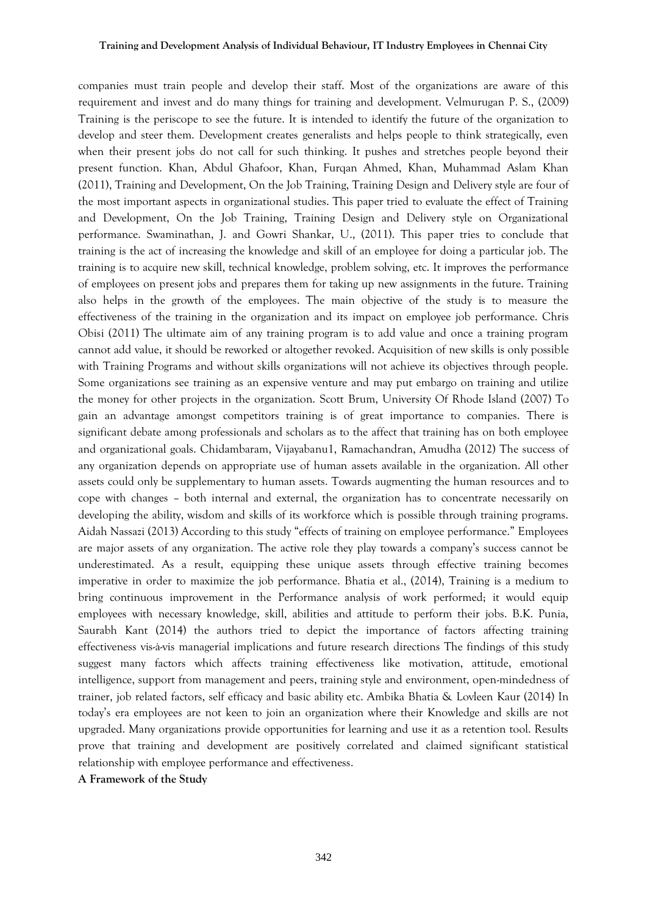companies must train people and develop their staff. Most of the organizations are aware of this requirement and invest and do many things for training and development. Velmurugan P. S., (2009) Training is the periscope to see the future. It is intended to identify the future of the organization to develop and steer them. Development creates generalists and helps people to think strategically, even when their present jobs do not call for such thinking. It pushes and stretches people beyond their present function. Khan, Abdul Ghafoor, Khan, Furqan Ahmed, Khan, Muhammad Aslam Khan (2011), Training and Development, On the Job Training, Training Design and Delivery style are four of the most important aspects in organizational studies. This paper tried to evaluate the effect of Training and Development, On the Job Training, Training Design and Delivery style on Organizational performance. Swaminathan, J. and Gowri Shankar, U., (2011). This paper tries to conclude that training is the act of increasing the knowledge and skill of an employee for doing a particular job. The training is to acquire new skill, technical knowledge, problem solving, etc. It improves the performance of employees on present jobs and prepares them for taking up new assignments in the future. Training also helps in the growth of the employees. The main objective of the study is to measure the effectiveness of the training in the organization and its impact on employee job performance. Chris Obisi (2011) The ultimate aim of any training program is to add value and once a training program cannot add value, it should be reworked or altogether revoked. Acquisition of new skills is only possible with Training Programs and without skills organizations will not achieve its objectives through people. Some organizations see training as an expensive venture and may put embargo on training and utilize the money for other projects in the organization. Scott Brum, University Of Rhode Island (2007) To gain an advantage amongst competitors training is of great importance to companies. There is significant debate among professionals and scholars as to the affect that training has on both employee and organizational goals. Chidambaram, Vijayabanu1, Ramachandran, Amudha (2012) The success of any organization depends on appropriate use of human assets available in the organization. All other assets could only be supplementary to human assets. Towards augmenting the human resources and to cope with changes – both internal and external, the organization has to concentrate necessarily on developing the ability, wisdom and skills of its workforce which is possible through training programs. Aidah Nassazi (2013) According to this study "effects of training on employee performance." Employees are major assets of any organization. The active role they play towards a company's success cannot be underestimated. As a result, equipping these unique assets through effective training becomes imperative in order to maximize the job performance. Bhatia et al., (2014), Training is a medium to bring continuous improvement in the Performance analysis of work performed; it would equip employees with necessary knowledge, skill, abilities and attitude to perform their jobs. B.K. Punia, Saurabh Kant (2014) the authors tried to depict the importance of factors affecting training effectiveness vis-à-vis managerial implications and future research directions The findings of this study suggest many factors which affects training effectiveness like motivation, attitude, emotional intelligence, support from management and peers, training style and environment, open-mindedness of trainer, job related factors, self efficacy and basic ability etc. Ambika Bhatia & Lovleen Kaur (2014) In today's era employees are not keen to join an organization where their Knowledge and skills are not upgraded. Many organizations provide opportunities for learning and use it as a retention tool. Results prove that training and development are positively correlated and claimed significant statistical relationship with employee performance and effectiveness.

**A Framework of the Study**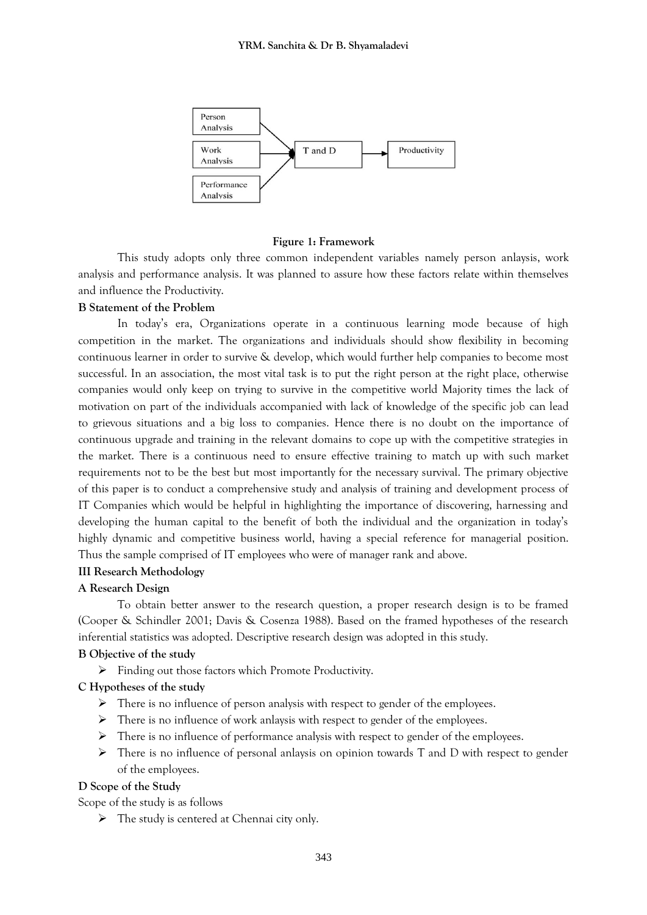

#### **Figure 1: Framework**

This study adopts only three common independent variables namely person anlaysis, work analysis and performance analysis. It was planned to assure how these factors relate within themselves and influence the Productivity.

### **B Statement of the Problem**

In today's era, Organizations operate in a continuous learning mode because of high competition in the market. The organizations and individuals should show flexibility in becoming continuous learner in order to survive & develop, which would further help companies to become most successful. In an association, the most vital task is to put the right person at the right place, otherwise companies would only keep on trying to survive in the competitive world Majority times the lack of motivation on part of the individuals accompanied with lack of knowledge of the specific job can lead to grievous situations and a big loss to companies. Hence there is no doubt on the importance of continuous upgrade and training in the relevant domains to cope up with the competitive strategies in the market. There is a continuous need to ensure effective training to match up with such market requirements not to be the best but most importantly for the necessary survival. The primary objective of this paper is to conduct a comprehensive study and analysis of training and development process of IT Companies which would be helpful in highlighting the importance of discovering, harnessing and developing the human capital to the benefit of both the individual and the organization in today's highly dynamic and competitive business world, having a special reference for managerial position. Thus the sample comprised of IT employees who were of manager rank and above.

# **III Research Methodology**

## **A Research Design**

To obtain better answer to the research question, a proper research design is to be framed (Cooper & Schindler 2001; Davis & Cosenza 1988). Based on the framed hypotheses of the research inferential statistics was adopted. Descriptive research design was adopted in this study.

## **B Objective of the study**

Finding out those factors which Promote Productivity.

#### **C Hypotheses of the study**

- $\triangleright$  There is no influence of person analysis with respect to gender of the employees.
- $\triangleright$  There is no influence of work anlaysis with respect to gender of the employees.
- $\triangleright$  There is no influence of performance analysis with respect to gender of the employees.
- $\triangleright$  There is no influence of personal anlaysis on opinion towards T and D with respect to gender of the employees.

#### **D Scope of the Study**

Scope of the study is as follows

 $\triangleright$  The study is centered at Chennai city only.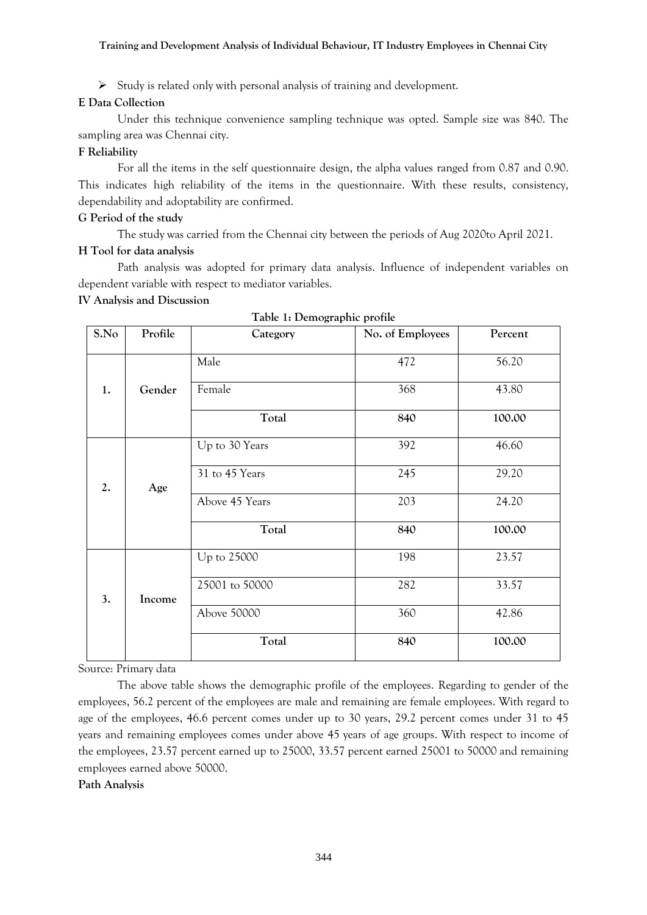#### **Training and Development Analysis of Individual Behaviour, IT Industry Employees in Chennai City**

 $\triangleright$  Study is related only with personal analysis of training and development.

## **E Data Collection**

Under this technique convenience sampling technique was opted. Sample size was 840. The sampling area was Chennai city.

## **F Reliability**

For all the items in the self questionnaire design, the alpha values ranged from 0.87 and 0.90. This indicates high reliability of the items in the questionnaire. With these results, consistency, dependability and adoptability are confirmed.

## **G Period of the study**

The study was carried from the Chennai city between the periods of Aug 2020to April 2021.

## **H Tool for data analysis**

Path analysis was adopted for primary data analysis. Influence of independent variables on dependent variable with respect to mediator variables.

## **IV Analysis and Discussion**

| S.No | Profile | Category       | No. of Employees | Percent |
|------|---------|----------------|------------------|---------|
|      |         | Male           | 472              | 56.20   |
| 1.   | Gender  | Female         | 368              | 43.80   |
|      |         | Total          | 840              | 100.00  |
|      |         | Up to 30 Years | 392              | 46.60   |
| 2.   | Age     | 31 to 45 Years | 245              | 29.20   |
|      |         | Above 45 Years | 203              | 24.20   |
|      |         | Total          | 840              | 100.00  |
|      |         | Up to 25000    | 198              | 23.57   |
| 3.   | Income  | 25001 to 50000 | 282              | 33.57   |
|      |         | Above 50000    | 360              | 42.86   |
|      |         | Total          | 840              | 100.00  |

Source: Primary data

The above table shows the demographic profile of the employees. Regarding to gender of the employees, 56.2 percent of the employees are male and remaining are female employees. With regard to age of the employees, 46.6 percent comes under up to 30 years, 29.2 percent comes under 31 to 45 years and remaining employees comes under above 45 years of age groups. With respect to income of the employees, 23.57 percent earned up to 25000, 33.57 percent earned 25001 to 50000 and remaining employees earned above 50000.

## **Path Analysis**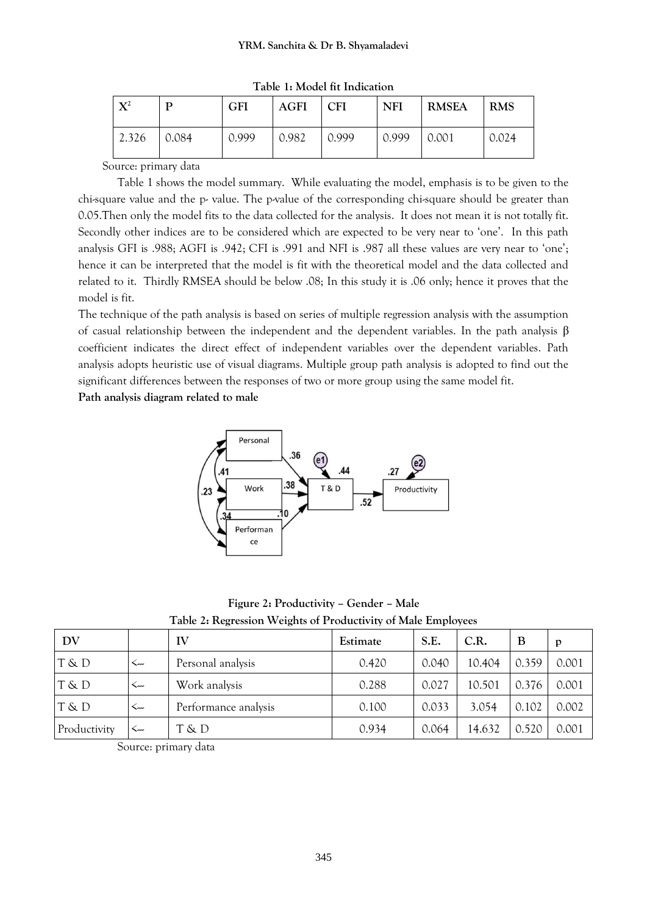| $\mathbf{X}^2$ |       | GFI   | <b>AGFI</b> | <b>CFI</b> | <b>NFI</b> | <b>RMSEA</b> | <b>RMS</b> |
|----------------|-------|-------|-------------|------------|------------|--------------|------------|
| 2.326          | 0.084 | 0.999 | 0.982       | 0.999      | 0.999      | 0.001        | 0.024      |

**Table 1: Model fit Indication**

Source: primary data

Table 1 shows the model summary. While evaluating the model, emphasis is to be given to the chi-square value and the p- value. The p-value of the corresponding chi-square should be greater than 0.05.Then only the model fits to the data collected for the analysis. It does not mean it is not totally fit. Secondly other indices are to be considered which are expected to be very near to 'one'. In this path analysis GFI is .988; AGFI is .942; CFI is .991 and NFI is .987 all these values are very near to 'one'; hence it can be interpreted that the model is fit with the theoretical model and the data collected and related to it. Thirdly RMSEA should be below .08; In this study it is .06 only; hence it proves that the model is fit.

The technique of the path analysis is based on series of multiple regression analysis with the assumption of casual relationship between the independent and the dependent variables. In the path analysis β coefficient indicates the direct effect of independent variables over the dependent variables. Path analysis adopts heuristic use of visual diagrams. Multiple group path analysis is adopted to find out the significant differences between the responses of two or more group using the same model fit.

**Path analysis diagram related to male**



**Figure 2: Productivity – Gender – Male Table 2: Regression Weights of Productivity of Male Employees**

| DV           |         | IV                   | Estimate | S.E.  | C.R.   | B     | p     |
|--------------|---------|----------------------|----------|-------|--------|-------|-------|
| T & D        | ر…>     | Personal analysis    | 0.420    | 0.040 | 10.404 | 0.359 | 0.001 |
| T & D        | $\prec$ | Work analysis        | 0.288    | 0.027 | 10.501 | 0.376 | 0.001 |
| T & D        | ىند     | Performance analysis | 0.100    | 0.033 | 3.054  | 0.102 | 0.002 |
| Productivity | ۔۔۔     | T & D                | 0.934    | 0.064 | 14.632 | 0.520 | 0.001 |

Source: primary data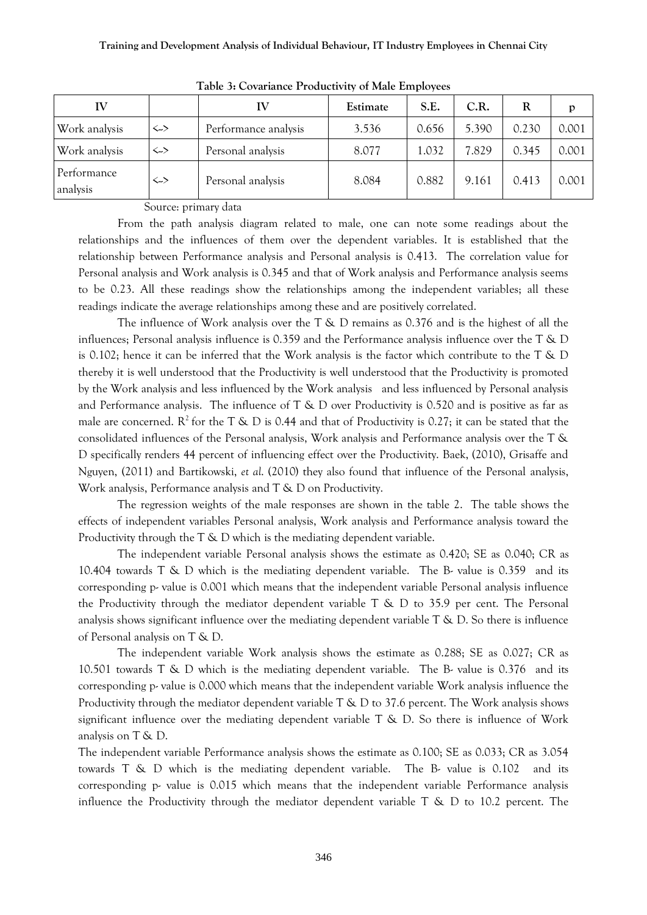| IV                      |                   | IV                   | Estimate | S.E.  | C.R.  | R     | p     |
|-------------------------|-------------------|----------------------|----------|-------|-------|-------|-------|
| Work analysis           | $\leftrightarrow$ | Performance analysis | 3.536    | 0.656 | 5.390 | 0.230 | 0.001 |
| Work analysis           | $\leftrightarrow$ | Personal analysis    | 8.077    | 1.032 | 7.829 | 0.345 | 0.001 |
| Performance<br>analysis | <>                | Personal analysis    | 8.084    | 0.882 | 9.161 | 0.413 | 0.001 |

**Table 3: Covariance Productivity of Male Employees**

Source: primary data

From the path analysis diagram related to male, one can note some readings about the relationships and the influences of them over the dependent variables. It is established that the relationship between Performance analysis and Personal analysis is 0.413. The correlation value for Personal analysis and Work analysis is 0.345 and that of Work analysis and Performance analysis seems to be 0.23. All these readings show the relationships among the independent variables; all these readings indicate the average relationships among these and are positively correlated.

The influence of Work analysis over the  $T \& D$  remains as 0.376 and is the highest of all the influences; Personal analysis influence is 0.359 and the Performance analysis influence over the T & D is 0.102; hence it can be inferred that the Work analysis is the factor which contribute to the T & D thereby it is well understood that the Productivity is well understood that the Productivity is promoted by the Work analysis and less influenced by the Work analysis and less influenced by Personal analysis and Performance analysis. The influence of  $T \& D$  over Productivity is 0.520 and is positive as far as male are concerned.  $R^2$  for the T & D is 0.44 and that of Productivity is 0.27; it can be stated that the consolidated influences of the Personal analysis, Work analysis and Performance analysis over the T & D specifically renders 44 percent of influencing effect over the Productivity. Baek, (2010), Grisaffe and Nguyen, (2011) and Bartikowski, *et al*. (2010) they also found that influence of the Personal analysis, Work analysis, Performance analysis and T & D on Productivity.

The regression weights of the male responses are shown in the table 2. The table shows the effects of independent variables Personal analysis, Work analysis and Performance analysis toward the Productivity through the T & D which is the mediating dependent variable.

The independent variable Personal analysis shows the estimate as 0.420; SE as 0.040; CR as 10.404 towards T & D which is the mediating dependent variable. The B- value is 0.359 and its corresponding p- value is 0.001 which means that the independent variable Personal analysis influence the Productivity through the mediator dependent variable  $T \& D$  to 35.9 per cent. The Personal analysis shows significant influence over the mediating dependent variable  $T \& D$ . So there is influence of Personal analysis on T & D.

The independent variable Work analysis shows the estimate as 0.288; SE as 0.027; CR as 10.501 towards T & D which is the mediating dependent variable. The B- value is 0.376 and its corresponding p- value is 0.000 which means that the independent variable Work analysis influence the Productivity through the mediator dependent variable T & D to 37.6 percent. The Work analysis shows significant influence over the mediating dependent variable  $T \& D$ . So there is influence of Work analysis on T & D.

The independent variable Performance analysis shows the estimate as 0.100; SE as 0.033; CR as 3.054 towards  $T \& D$  which is the mediating dependent variable. The B- value is 0.102 and its corresponding p- value is 0.015 which means that the independent variable Performance analysis influence the Productivity through the mediator dependent variable  $T \& D$  to 10.2 percent. The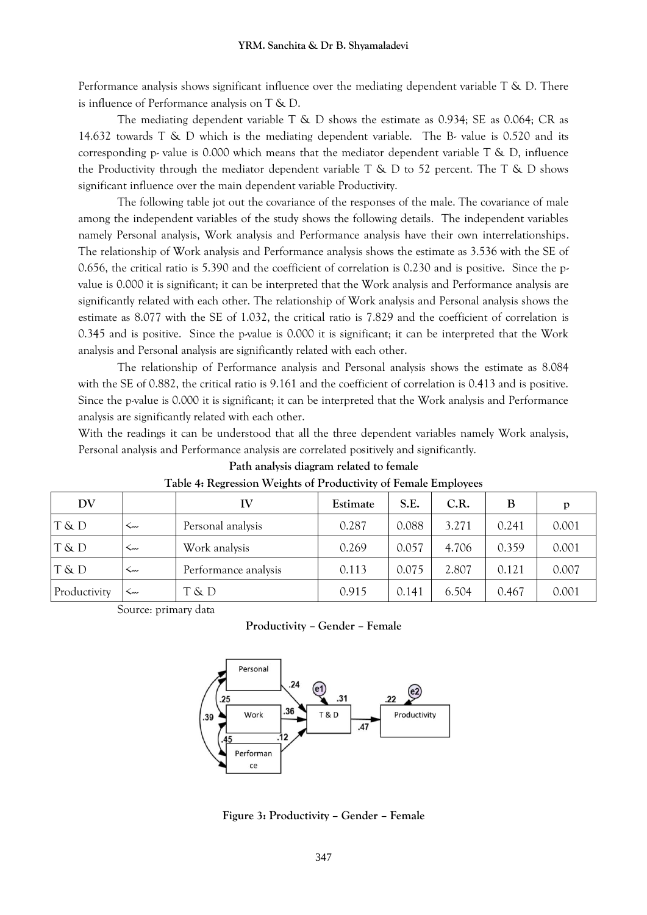Performance analysis shows significant influence over the mediating dependent variable T & D. There is influence of Performance analysis on T & D.

The mediating dependent variable T & D shows the estimate as 0.934; SE as 0.064; CR as 14.632 towards T & D which is the mediating dependent variable. The B- value is 0.520 and its corresponding p- value is 0.000 which means that the mediator dependent variable  $T \& D$ , influence the Productivity through the mediator dependent variable  $T \& D$  to 52 percent. The  $T \& D$  shows significant influence over the main dependent variable Productivity.

The following table jot out the covariance of the responses of the male. The covariance of male among the independent variables of the study shows the following details. The independent variables namely Personal analysis, Work analysis and Performance analysis have their own interrelationships. The relationship of Work analysis and Performance analysis shows the estimate as 3.536 with the SE of 0.656, the critical ratio is 5.390 and the coefficient of correlation is 0.230 and is positive. Since the pvalue is 0.000 it is significant; it can be interpreted that the Work analysis and Performance analysis are significantly related with each other. The relationship of Work analysis and Personal analysis shows the estimate as 8.077 with the SE of 1.032, the critical ratio is 7.829 and the coefficient of correlation is 0.345 and is positive. Since the p-value is 0.000 it is significant; it can be interpreted that the Work analysis and Personal analysis are significantly related with each other.

The relationship of Performance analysis and Personal analysis shows the estimate as 8.084 with the SE of 0.882, the critical ratio is 9.161 and the coefficient of correlation is 0.413 and is positive. Since the p-value is 0.000 it is significant; it can be interpreted that the Work analysis and Performance analysis are significantly related with each other.

With the readings it can be understood that all the three dependent variables namely Work analysis, Personal analysis and Performance analysis are correlated positively and significantly.

| DV           |     | IV                   | Estimate | S.E.  | C.R.  | B     | p     |
|--------------|-----|----------------------|----------|-------|-------|-------|-------|
| T & D        | سە> | Personal analysis    | 0.287    | 0.088 | 3.271 | 0.241 | 0.001 |
| T & D        | ۔۔۔ | Work analysis        | 0.269    | 0.057 | 4.706 | 0.359 | 0.001 |
| T & D        | ست  | Performance analysis | 0.113    | 0.075 | 2.807 | 0.121 | 0.007 |
| Productivity | ∽~  | T & D                | 0.915    | 0.141 | 6.504 | 0.467 | 0.001 |

| Path analysis diagram related to female |  |
|-----------------------------------------|--|
|-----------------------------------------|--|

Source: primary data

**Productivity – Gender – Female**



**Figure 3: Productivity – Gender – Female**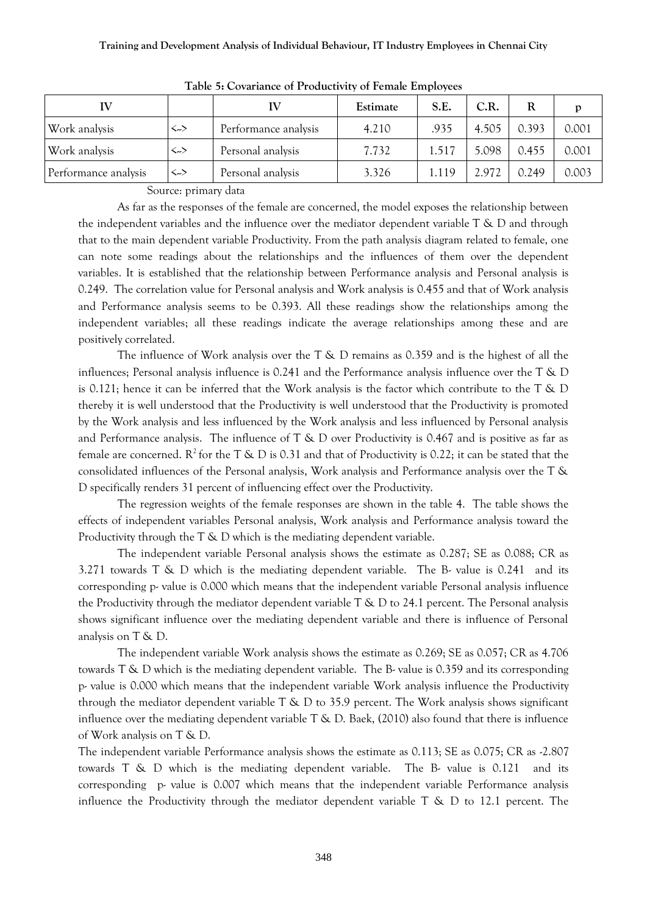| IV                   |                   |                      | Estimate | S.E.  | C.R.  | R     |       |
|----------------------|-------------------|----------------------|----------|-------|-------|-------|-------|
| Work analysis        | $\leftrightarrow$ | Performance analysis | 4.210    | .935  | 4.505 | 0.393 | 0.001 |
| Work analysis        | <>                | Personal analysis    | 7.732    | 1.517 | 5.098 | 0.455 | 0.001 |
| Performance analysis | <>                | Personal analysis    | 3.326    | 1.119 | 2.972 | 0.249 | 0.003 |

**Table 5: Covariance of Productivity of Female Employees**

Source: primary data

As far as the responses of the female are concerned, the model exposes the relationship between the independent variables and the influence over the mediator dependent variable  $T \& D$  and through that to the main dependent variable Productivity. From the path analysis diagram related to female, one can note some readings about the relationships and the influences of them over the dependent variables. It is established that the relationship between Performance analysis and Personal analysis is 0.249. The correlation value for Personal analysis and Work analysis is 0.455 and that of Work analysis and Performance analysis seems to be 0.393. All these readings show the relationships among the independent variables; all these readings indicate the average relationships among these and are positively correlated.

The influence of Work analysis over the  $T \& D$  remains as 0.359 and is the highest of all the influences; Personal analysis influence is 0.241 and the Performance analysis influence over the T & D is 0.121; hence it can be inferred that the Work analysis is the factor which contribute to the T & D thereby it is well understood that the Productivity is well understood that the Productivity is promoted by the Work analysis and less influenced by the Work analysis and less influenced by Personal analysis and Performance analysis. The influence of  $T \& D$  over Productivity is 0.467 and is positive as far as female are concerned.  $R^2$  for the T & D is 0.31 and that of Productivity is 0.22; it can be stated that the consolidated influences of the Personal analysis, Work analysis and Performance analysis over the T & D specifically renders 31 percent of influencing effect over the Productivity.

The regression weights of the female responses are shown in the table 4. The table shows the effects of independent variables Personal analysis, Work analysis and Performance analysis toward the Productivity through the T & D which is the mediating dependent variable.

The independent variable Personal analysis shows the estimate as 0.287; SE as 0.088; CR as 3.271 towards  $T \& D$  which is the mediating dependent variable. The B- value is 0.241 and its corresponding p- value is 0.000 which means that the independent variable Personal analysis influence the Productivity through the mediator dependent variable T & D to 24.1 percent. The Personal analysis shows significant influence over the mediating dependent variable and there is influence of Personal analysis on T & D.

The independent variable Work analysis shows the estimate as 0.269; SE as 0.057; CR as 4.706 towards T & D which is the mediating dependent variable. The B- value is 0.359 and its corresponding p- value is 0.000 which means that the independent variable Work analysis influence the Productivity through the mediator dependent variable T & D to 35.9 percent. The Work analysis shows significant influence over the mediating dependent variable  $T \& D$ . Baek, (2010) also found that there is influence of Work analysis on T & D.

The independent variable Performance analysis shows the estimate as 0.113; SE as 0.075; CR as -2.807 towards  $T \& D$  which is the mediating dependent variable. The B- value is 0.121 and its corresponding p- value is 0.007 which means that the independent variable Performance analysis influence the Productivity through the mediator dependent variable  $T \& D$  to 12.1 percent. The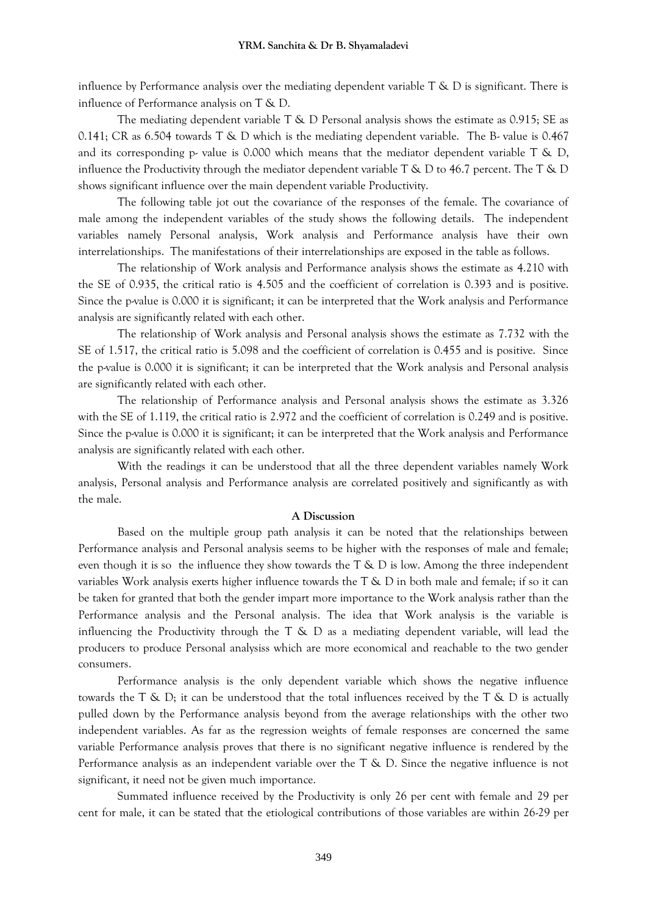influence by Performance analysis over the mediating dependent variable  $T \& D$  is significant. There is influence of Performance analysis on T & D.

The mediating dependent variable T & D Personal analysis shows the estimate as 0.915; SE as 0.141; CR as 6.504 towards T & D which is the mediating dependent variable. The B- value is 0.467 and its corresponding p- value is 0.000 which means that the mediator dependent variable  $T \& D$ , influence the Productivity through the mediator dependent variable  $T \& D$  to 46.7 percent. The T  $\& D$ shows significant influence over the main dependent variable Productivity.

The following table jot out the covariance of the responses of the female. The covariance of male among the independent variables of the study shows the following details. The independent variables namely Personal analysis, Work analysis and Performance analysis have their own interrelationships. The manifestations of their interrelationships are exposed in the table as follows.

The relationship of Work analysis and Performance analysis shows the estimate as 4.210 with the SE of 0.935, the critical ratio is 4.505 and the coefficient of correlation is 0.393 and is positive. Since the p-value is 0.000 it is significant; it can be interpreted that the Work analysis and Performance analysis are significantly related with each other.

The relationship of Work analysis and Personal analysis shows the estimate as 7.732 with the SE of 1.517, the critical ratio is 5.098 and the coefficient of correlation is 0.455 and is positive. Since the p-value is 0.000 it is significant; it can be interpreted that the Work analysis and Personal analysis are significantly related with each other.

The relationship of Performance analysis and Personal analysis shows the estimate as 3.326 with the SE of 1.119, the critical ratio is 2.972 and the coefficient of correlation is 0.249 and is positive. Since the p-value is 0.000 it is significant; it can be interpreted that the Work analysis and Performance analysis are significantly related with each other.

With the readings it can be understood that all the three dependent variables namely Work analysis, Personal analysis and Performance analysis are correlated positively and significantly as with the male.

#### **A Discussion**

Based on the multiple group path analysis it can be noted that the relationships between Performance analysis and Personal analysis seems to be higher with the responses of male and female; even though it is so the influence they show towards the  $T \& D$  is low. Among the three independent variables Work analysis exerts higher influence towards the T & D in both male and female; if so it can be taken for granted that both the gender impart more importance to the Work analysis rather than the Performance analysis and the Personal analysis. The idea that Work analysis is the variable is influencing the Productivity through the  $T \& D$  as a mediating dependent variable, will lead the producers to produce Personal analysiss which are more economical and reachable to the two gender consumers.

Performance analysis is the only dependent variable which shows the negative influence towards the  $T \& D$ ; it can be understood that the total influences received by the  $T \& D$  is actually pulled down by the Performance analysis beyond from the average relationships with the other two independent variables. As far as the regression weights of female responses are concerned the same variable Performance analysis proves that there is no significant negative influence is rendered by the Performance analysis as an independent variable over the T & D. Since the negative influence is not significant, it need not be given much importance.

Summated influence received by the Productivity is only 26 per cent with female and 29 per cent for male, it can be stated that the etiological contributions of those variables are within 26-29 per